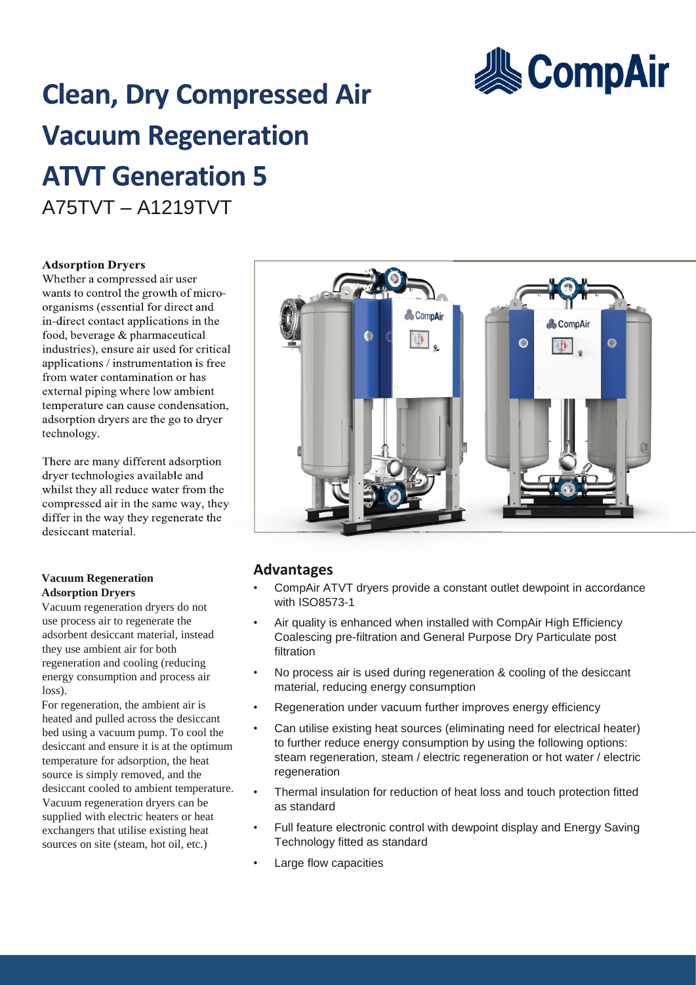

# **Clean, Dry Compressed Air Vacuum Regeneration ATVT Generation 5** A75TVT – A1219TVT

#### **Adsorption Dryers**

Whether a compressed air user wants to control the growth of microorganisms (essential for direct and in-direct contact applications in the food, beverage & pharmaceutical industries), ensure air used for critical applications / instrumentation is free from water contamination or has external piping where low ambient temperature can cause condensation, adsorption dryers are the go to dryer technology.

There are many different adsorption dryer technologies available and whilst they all reduce water from the compressed air in the same way, they differ in the way they regenerate the desiccant material.

#### **Vacuum Regeneration Adsorption Dryers**

Vacuum regeneration dryers do not use process air to regenerate the adsorbent desiccant material, instead they use ambient air for both regeneration and cooling (reducing energy consumption and process air loss).

For regeneration, the ambient air is heated and pulled across the desiccant bed using a vacuum pump. To cool the desiccant and ensure it is at the optimum temperature for adsorption, the heat source is simply removed, and the desiccant cooled to ambient temperature. Vacuum regeneration dryers can be supplied with electric heaters or heat exchangers that utilise existing heat sources on site (steam, hot oil, etc.)



## **Advantages**

- CompAir ATVT dryers provide a constant outlet dewpoint in accordance with ISO8573-1
- Air quality is enhanced when installed with CompAir High Efficiency Coalescing pre-filtration and General Purpose Dry Particulate post filtration
- No process air is used during regeneration & cooling of the desiccant material, reducing energy consumption
- Regeneration under vacuum further improves energy efficiency
- Can utilise existing heat sources (eliminating need for electrical heater) to further reduce energy consumption by using the following options: steam regeneration, steam / electric regeneration or hot water / electric regeneration
- Thermal insulation for reduction of heat loss and touch protection fitted as standard
- Full feature electronic control with dewpoint display and Energy Saving Technology fitted as standard
- Large flow capacities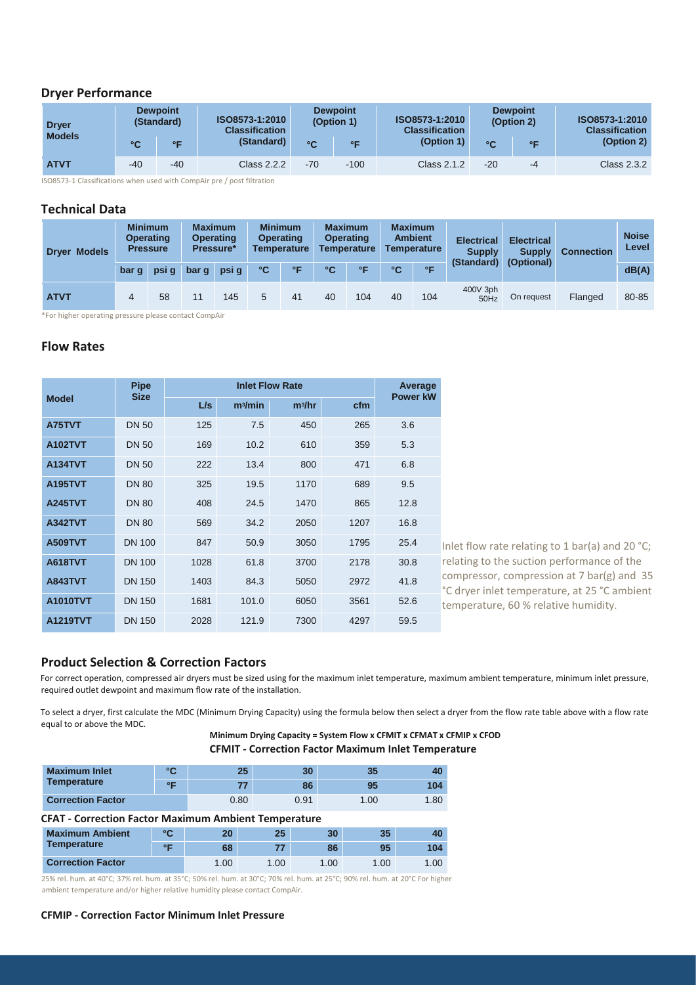#### **Dryer Performance**

| <b>Dryer</b><br><b>Models</b> |       | <b>Dewpoint</b><br>(Standard) | ISO8573-1:2010<br><b>Classification</b> | <b>Dewpoint</b><br>(Option 1) |           | <b>ISO8573-1:2010</b><br><b>Classification</b> |       | <b>Dewpoint</b><br>(Option 2) | ISO8573-1:2010<br><b>Classification</b> |
|-------------------------------|-------|-------------------------------|-----------------------------------------|-------------------------------|-----------|------------------------------------------------|-------|-------------------------------|-----------------------------------------|
|                               | °C    | $\circ$ $\Box$                | (Standard)                              | $^{\circ}$ C                  | $\circ$ F | (Option 1)                                     | °C    | $\circ$                       | (Option 2)                              |
| <b>ATVT</b>                   | $-40$ | $-40$                         | Class 2.2.2                             | $-70$                         | $-100$    | <b>Class 2.1.2</b>                             | $-20$ | $-4$                          | Class 2.3.2                             |

ISO8573-1 Classifications when used with CompAir pre / post filtration

#### **Technical Data**

| <b>Dryer Models</b> |       | <b>Minimum</b><br><b>Operating</b><br><b>Pressure</b> |       | <b>Maximum</b><br><b>Operating</b><br>Pressure* | <b>Minimum</b> | <b>Operating</b><br><b>Temperature</b> |    | <b>Maximum</b><br><b>Operating</b><br><b>Temperature</b> |    | <b>Maximum</b><br><b>Ambient</b><br><b>Temperature</b> | <b>Electrical</b><br><b>Supply</b> | <b>Electrical</b><br><b>Supply</b> | <b>Connection</b><br>(Optional) | <b>Noise</b><br>Level |
|---------------------|-------|-------------------------------------------------------|-------|-------------------------------------------------|----------------|----------------------------------------|----|----------------------------------------------------------|----|--------------------------------------------------------|------------------------------------|------------------------------------|---------------------------------|-----------------------|
|                     | bar q | psi g                                                 | bar q | psi q                                           | °C             | °F                                     | °C | $\circ$                                                  | °C | $\circ$                                                | (Standard)                         |                                    |                                 | dB(A)                 |
| <b>ATVT</b>         |       | 58                                                    |       | 145                                             | 5              | 41                                     | 40 | 104                                                      | 40 | 104                                                    | 400V 3ph<br>50Hz                   | On request                         | Flanged                         | 80-85                 |

\*For higher operating pressure please contact CompAir

#### **Flow Rates**

|                 | <b>Pipe</b><br><b>Size</b> |      | Average<br><b>Power kW</b> |          |      |      |
|-----------------|----------------------------|------|----------------------------|----------|------|------|
| <b>Model</b>    |                            | L/s  | m <sup>3</sup> /min        | $m^3/hr$ | cfm  |      |
| A75TVT          | <b>DN 50</b>               | 125  | 7.5                        | 450      | 265  | 3.6  |
| <b>A102TVT</b>  | <b>DN 50</b>               | 169  | 10.2                       | 610      | 359  | 5.3  |
| <b>A134TVT</b>  | <b>DN 50</b>               | 222  | 13.4                       | 800      | 471  | 6.8  |
| <b>A195TVT</b>  | <b>DN 80</b>               | 325  | 19.5                       | 1170     | 689  | 9.5  |
| <b>A245TVT</b>  | <b>DN 80</b>               | 408  | 24.5                       | 1470     | 865  | 12.8 |
| <b>A342TVT</b>  | <b>DN 80</b>               | 569  | 34.2                       | 2050     | 1207 | 16.8 |
| <b>A509TVT</b>  | <b>DN 100</b>              | 847  | 50.9                       | 3050     | 1795 | 25.4 |
| <b>A618TVT</b>  | <b>DN 100</b>              | 1028 | 61.8                       | 3700     | 2178 | 30.8 |
| <b>A843TVT</b>  | <b>DN 150</b>              | 1403 | 84.3                       | 5050     | 2972 | 41.8 |
| <b>A1010TVT</b> | <b>DN 150</b>              | 1681 | 101.0                      | 6050     | 3561 | 52.6 |
| <b>A1219TVT</b> | <b>DN 150</b>              | 2028 | 121.9                      | 7300     | 4297 | 59.5 |

Inlet flow rate relating to 1 bar(a) and 20 °C; relating to the suction performance of the compressor, compression at 7 bar(g) and 35 °C dryer inlet temperature, at 25 °C ambient temperature, 60 % relative humidity.

#### **Product Selection & Correction Factors**

For correct operation, compressed air dryers must be sized using for the maximum inlet temperature, maximum ambient temperature, minimum inlet pressure, required outlet dewpoint and maximum flow rate of the installation.

To select a dryer, first calculate the MDC (Minimum Drying Capacity) using the formula below then select a dryer from the flow rate table above with a flow rate equal to or above the MDC.

**Minimum Drying Capacity = System Flow x CFMIT x CFMAT x CFMIP x CFOD CFMIT - Correction Factor Maximum Inlet Temperature**

| <b>Maximum Inlet</b>     | $\sim$                 | 25   | 30   |      | 40  |
|--------------------------|------------------------|------|------|------|-----|
| <b>Temperature</b>       | $\circ$ $\blacksquare$ |      | 86   |      | 104 |
| <b>Correction Factor</b> |                        | 0.80 | 0.91 | 1.00 | .80 |

#### **CFAT - Correction Factor Maximum Ambient Temperature**

| <b>Maximum Ambient</b>   | ۰c                     | າດ   | 25  | 30  | 35  | 40   |
|--------------------------|------------------------|------|-----|-----|-----|------|
| <b>Temperature</b>       | $\circ$ $\blacksquare$ | 68   | 77  | 86  | 95  | 104  |
| <b>Correction Factor</b> |                        | .00. | .00 | .00 | .00 | 1.00 |

25% rel. hum. at 40°C; 37% rel. hum. at 35°C; 50% rel. hum. at 30°C; 70% rel. hum. at 25°C; 90% rel. hum. at 20°C For higher ambient temperature and/or higher relative humidity please contact CompAir.

#### **CFMIP - Correction Factor Minimum Inlet Pressure**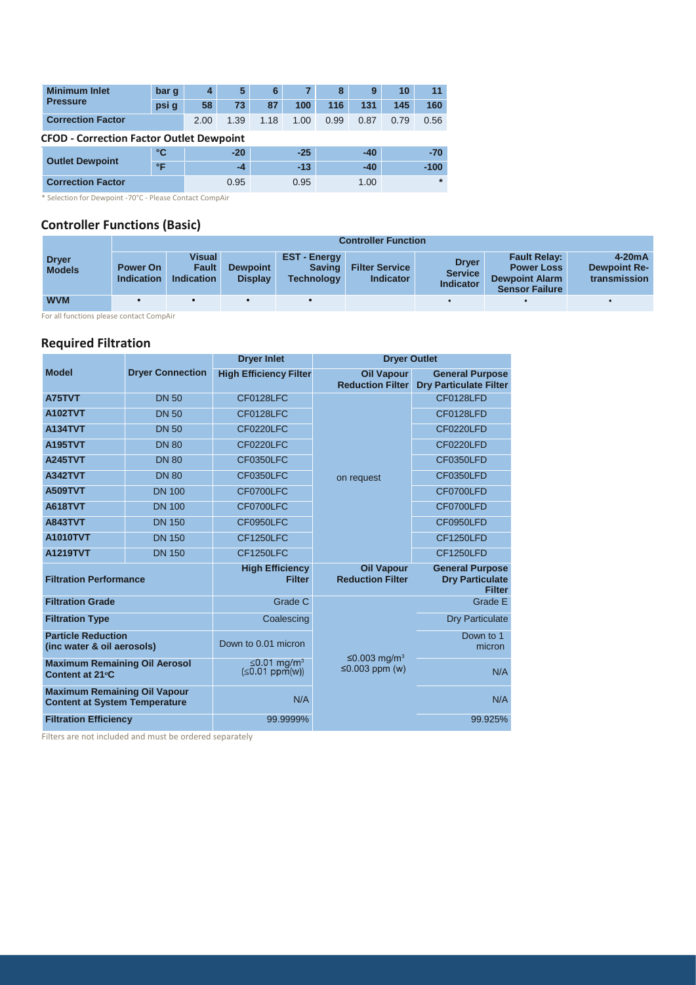| <b>Minimum Inlet</b>     | bar q                                           | 4    | 5     | 6    |       | 8    | 9     | 10   | 11      |
|--------------------------|-------------------------------------------------|------|-------|------|-------|------|-------|------|---------|
| <b>Pressure</b>          | psi g                                           | 58   | 73    | 87   | 100   | 116  | 131   | 145  | 160     |
| <b>Correction Factor</b> |                                                 | 2.00 | 1.39  | 1.18 | 1.00  | 0.99 | 0.87  | 0.79 | 0.56    |
|                          | <b>CFOD - Correction Factor Outlet Dewpoint</b> |      |       |      |       |      |       |      |         |
|                          | ℃                                               |      | $-20$ |      | $-25$ |      | $-40$ |      | $-70$   |
| <b>Outlet Dewpoint</b>   | °F                                              |      | $-4$  |      | $-13$ |      | $-40$ |      | $-100$  |
| <b>Correction Factor</b> |                                                 |      | 0.95  |      | 0.95  |      | 1.00  |      | $\star$ |

\* Selection for Dewpoint -70°C - Please Contact CompAir

### **Controller Functions (Basic)**

|                               |                                      | <b>Controller Function</b>           |                                   |                                                         |                                           |                                                    |                                                                                            |                                                 |  |  |  |  |
|-------------------------------|--------------------------------------|--------------------------------------|-----------------------------------|---------------------------------------------------------|-------------------------------------------|----------------------------------------------------|--------------------------------------------------------------------------------------------|-------------------------------------------------|--|--|--|--|
| <b>Dryer</b><br><b>Models</b> | <b>Power On</b><br><b>Indication</b> | Visual<br>Fault<br><b>Indication</b> | <b>Dewpoint</b><br><b>Display</b> | <b>EST-Energy</b><br><b>Saving</b><br><b>Technology</b> | <b>Filter Service</b><br><b>Indicator</b> | <b>Dryer</b><br><b>Service</b><br><b>Indicator</b> | <b>Fault Relay:</b><br><b>Power Loss</b><br><b>Dewpoint Alarm</b><br><b>Sensor Failure</b> | $4-20mA$<br><b>Dewpoint Re-</b><br>transmission |  |  |  |  |
| <b>WVM</b>                    |                                      |                                      |                                   |                                                         |                                           |                                                    |                                                                                            |                                                 |  |  |  |  |

For all functions please contact CompAir

## **Required Filtration**

|                                                                             |                         | <b>Dryer Inlet</b>                         | <b>Dryer Outlet</b>                              |                                                                   |  |  |  |
|-----------------------------------------------------------------------------|-------------------------|--------------------------------------------|--------------------------------------------------|-------------------------------------------------------------------|--|--|--|
| <b>Model</b>                                                                | <b>Dryer Connection</b> | <b>High Efficiency Filter</b>              | <b>Oil Vapour</b><br><b>Reduction Filter</b>     | <b>General Purpose</b><br><b>Dry Particulate Filter</b>           |  |  |  |
| A75TVT                                                                      | <b>DN 50</b>            | CF0128LFC                                  |                                                  | CF0128LFD                                                         |  |  |  |
| <b>A102TVT</b>                                                              | <b>DN 50</b>            | CF0128LFC                                  |                                                  | CF0128LFD                                                         |  |  |  |
| <b>A134TVT</b>                                                              | <b>DN 50</b>            | CF0220LFC                                  |                                                  | CF0220LFD                                                         |  |  |  |
| <b>A195TVT</b>                                                              | <b>DN 80</b>            | CF0220LFC                                  |                                                  | CF0220LFD                                                         |  |  |  |
| <b>A245TVT</b>                                                              | <b>DN 80</b>            | CF0350LFC                                  |                                                  | CF0350LFD                                                         |  |  |  |
| <b>A342TVT</b>                                                              | <b>DN 80</b>            | CF0350LFC                                  | on request                                       | CF0350LFD                                                         |  |  |  |
| <b>A509TVT</b>                                                              | <b>DN 100</b>           | CF0700LFC                                  |                                                  | CF0700LFD                                                         |  |  |  |
| <b>A618TVT</b>                                                              | <b>DN 100</b>           | CF0700LFC                                  |                                                  | CF0700LFD                                                         |  |  |  |
| <b>A843TVT</b>                                                              | <b>DN 150</b>           | CF0950LFC                                  |                                                  | CF0950LFD                                                         |  |  |  |
| <b>A1010TVT</b>                                                             | <b>DN 150</b>           | CF1250LFC                                  |                                                  | CF1250LFD                                                         |  |  |  |
| A1219TVT                                                                    | <b>DN 150</b>           | CF1250LFC                                  |                                                  | CF1250LFD                                                         |  |  |  |
| <b>Filtration Performance</b>                                               |                         | <b>High Efficiency</b><br><b>Filter</b>    | <b>Oil Vapour</b><br><b>Reduction Filter</b>     | <b>General Purpose</b><br><b>Dry Particulate</b><br><b>Filter</b> |  |  |  |
| <b>Filtration Grade</b>                                                     |                         | Grade C                                    |                                                  | Grade E                                                           |  |  |  |
| <b>Filtration Type</b>                                                      |                         | Coalescing                                 |                                                  | <b>Dry Particulate</b>                                            |  |  |  |
| <b>Particle Reduction</b><br>(inc water & oil aerosols)                     |                         | Down to 0.01 micron                        |                                                  | Down to 1<br>micron                                               |  |  |  |
| <b>Maximum Remaining Oil Aerosol</b><br>Content at 21°C                     |                         | ≤0.01 mg/m <sup>3</sup><br>$≤0.01$ ppm(w)) | ≤0.003 mg/m <sup>3</sup><br>$\leq$ 0.003 ppm (w) |                                                                   |  |  |  |
| <b>Maximum Remaining Oil Vapour</b><br><b>Content at System Temperature</b> |                         | N/A                                        |                                                  | N/A                                                               |  |  |  |
| <b>Filtration Efficiency</b>                                                |                         | 99.9999%                                   |                                                  | 99.925%                                                           |  |  |  |

Filters are not included and must be ordered separately